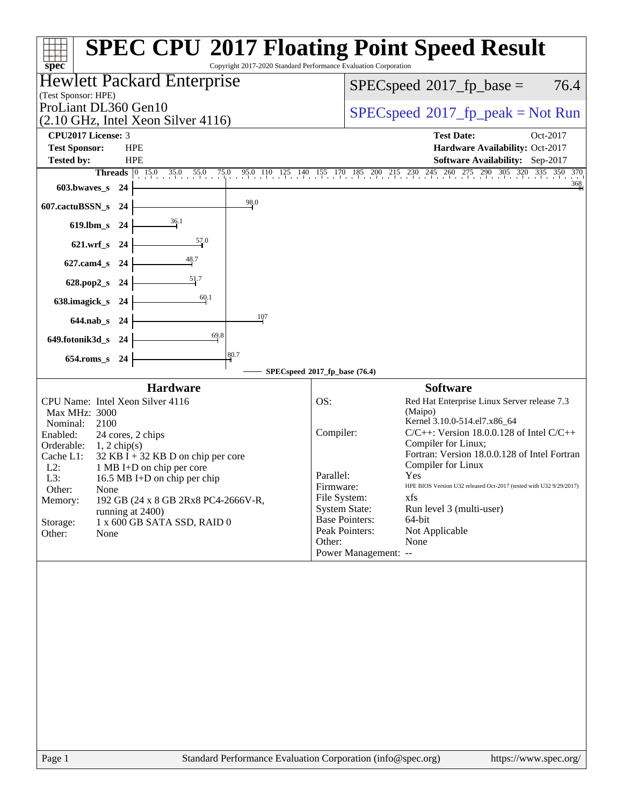|                                                                                                                                             | <b>SPEC CPU®2017 Floating Point Speed Result</b>                                                       |  |  |  |  |  |  |  |
|---------------------------------------------------------------------------------------------------------------------------------------------|--------------------------------------------------------------------------------------------------------|--|--|--|--|--|--|--|
| spec                                                                                                                                        | Copyright 2017-2020 Standard Performance Evaluation Corporation                                        |  |  |  |  |  |  |  |
| <b>Hewlett Packard Enterprise</b>                                                                                                           | 76.4<br>$SPEC speed^{\circ}2017\_fp\_base =$                                                           |  |  |  |  |  |  |  |
| (Test Sponsor: HPE)<br>ProLiant DL360 Gen10                                                                                                 |                                                                                                        |  |  |  |  |  |  |  |
| $(2.10 \text{ GHz}, \text{Intel Xeon Silver } 4116)$                                                                                        | $SPEC speed^{\circ}2017\_fp\_peak = Not Run$                                                           |  |  |  |  |  |  |  |
| CPU2017 License: 3                                                                                                                          | <b>Test Date:</b><br>Oct-2017                                                                          |  |  |  |  |  |  |  |
| <b>Test Sponsor:</b><br><b>HPE</b><br>Hardware Availability: Oct-2017<br><b>Tested by:</b><br><b>HPE</b><br>Software Availability: Sep-2017 |                                                                                                        |  |  |  |  |  |  |  |
| <b>Threads</b> $\begin{bmatrix} 0 & 15.0 & 35.0 & 55.0 \end{bmatrix}$                                                                       | 75.0 95.0 110 125 140 155 170 185 200 215 230 245 260 275 290 305 320 335 350 370                      |  |  |  |  |  |  |  |
| 603.bwaves_s 24                                                                                                                             | $\frac{368}{4}$                                                                                        |  |  |  |  |  |  |  |
| 98.0<br>607.cactuBSSN_s 24                                                                                                                  |                                                                                                        |  |  |  |  |  |  |  |
| 36.1<br>$619.$ lbm_s<br>- 24                                                                                                                |                                                                                                        |  |  |  |  |  |  |  |
| 57.0<br>621.wrf_s 24                                                                                                                        |                                                                                                        |  |  |  |  |  |  |  |
| 48.7<br>627.cam4_s 24                                                                                                                       |                                                                                                        |  |  |  |  |  |  |  |
| $\frac{51.7}{4}$<br>628.pop2_s 24                                                                                                           |                                                                                                        |  |  |  |  |  |  |  |
| 60.1<br>638.imagick_s 24                                                                                                                    |                                                                                                        |  |  |  |  |  |  |  |
| 107<br>644.nab_s 24                                                                                                                         |                                                                                                        |  |  |  |  |  |  |  |
| 69.8<br>649.fotonik3d_s 24                                                                                                                  |                                                                                                        |  |  |  |  |  |  |  |
| 80.7<br>654.roms_s 24                                                                                                                       |                                                                                                        |  |  |  |  |  |  |  |
| <b>Hardware</b>                                                                                                                             | SPECspeed®2017_fp_base (76.4)<br><b>Software</b>                                                       |  |  |  |  |  |  |  |
| CPU Name: Intel Xeon Silver 4116                                                                                                            | OS:<br>Red Hat Enterprise Linux Server release 7.3                                                     |  |  |  |  |  |  |  |
| Max MHz: 3000<br>2100<br>Nominal:                                                                                                           | (Maipo)<br>Kernel 3.10.0-514.el7.x86_64                                                                |  |  |  |  |  |  |  |
| Enabled:<br>24 cores, 2 chips                                                                                                               | $C/C++$ : Version 18.0.0.128 of Intel $C/C++$<br>Compiler:<br>Compiler for Linux;                      |  |  |  |  |  |  |  |
| Orderable:<br>$1, 2$ chip(s)<br>$32$ KB I + 32 KB D on chip per core<br>Cache L1:                                                           | Fortran: Version 18.0.0.128 of Intel Fortran                                                           |  |  |  |  |  |  |  |
| $L2$ :<br>1 MB I+D on chip per core<br>L3:<br>16.5 MB I+D on chip per chip                                                                  | Compiler for Linux<br>Parallel:<br>Yes                                                                 |  |  |  |  |  |  |  |
| Other:<br>None                                                                                                                              | Firmware:<br>HPE BIOS Version U32 released Oct-2017 (tested with U32 9/29/2017)<br>File System:<br>xfs |  |  |  |  |  |  |  |
| Memory:<br>192 GB (24 x 8 GB 2Rx8 PC4-2666V-R,<br>running at 2400)                                                                          | <b>System State:</b><br>Run level 3 (multi-user)                                                       |  |  |  |  |  |  |  |
| 1 x 600 GB SATA SSD, RAID 0<br>Storage:<br>Other:<br>None                                                                                   | <b>Base Pointers:</b><br>64-bit<br>Peak Pointers:<br>Not Applicable                                    |  |  |  |  |  |  |  |
|                                                                                                                                             | Other:<br>None<br>Power Management: --                                                                 |  |  |  |  |  |  |  |
|                                                                                                                                             |                                                                                                        |  |  |  |  |  |  |  |
|                                                                                                                                             |                                                                                                        |  |  |  |  |  |  |  |
|                                                                                                                                             |                                                                                                        |  |  |  |  |  |  |  |
|                                                                                                                                             |                                                                                                        |  |  |  |  |  |  |  |
|                                                                                                                                             |                                                                                                        |  |  |  |  |  |  |  |
|                                                                                                                                             |                                                                                                        |  |  |  |  |  |  |  |
|                                                                                                                                             |                                                                                                        |  |  |  |  |  |  |  |
|                                                                                                                                             |                                                                                                        |  |  |  |  |  |  |  |
|                                                                                                                                             |                                                                                                        |  |  |  |  |  |  |  |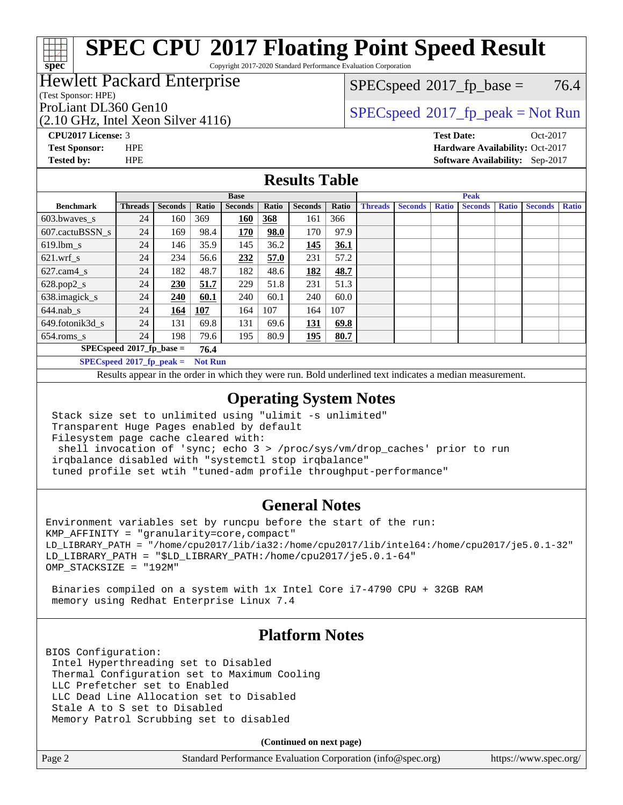Copyright 2017-2020 Standard Performance Evaluation Corporation

## Hewlett Packard Enterprise

(Test Sponsor: HPE)

**[spec](http://www.spec.org/)**

(2.10 GHz, Intel Xeon Silver 4116)

 $SPECspeed^{\circledcirc}2017_fp\_base = 76.4$  $SPECspeed^{\circledcirc}2017_fp\_base = 76.4$ 

## ProLiant DL360 Gen10  $SPECspeed^{\circ}2017\_fp\_peak = Not Run$  $SPECspeed^{\circ}2017\_fp\_peak = Not Run$

**[CPU2017 License:](http://www.spec.org/auto/cpu2017/Docs/result-fields.html#CPU2017License)** 3 **[Test Date:](http://www.spec.org/auto/cpu2017/Docs/result-fields.html#TestDate)** Oct-2017 **[Test Sponsor:](http://www.spec.org/auto/cpu2017/Docs/result-fields.html#TestSponsor)** HPE **[Hardware Availability:](http://www.spec.org/auto/cpu2017/Docs/result-fields.html#HardwareAvailability)** Oct-2017 **[Tested by:](http://www.spec.org/auto/cpu2017/Docs/result-fields.html#Testedby)** HPE **[Software Availability:](http://www.spec.org/auto/cpu2017/Docs/result-fields.html#SoftwareAvailability)** Sep-2017

## **[Results Table](http://www.spec.org/auto/cpu2017/Docs/result-fields.html#ResultsTable)**

|                              | <b>Base</b>                 |                |                | <b>Peak</b>    |       |                |       |                |                |              |                |              |                |              |
|------------------------------|-----------------------------|----------------|----------------|----------------|-------|----------------|-------|----------------|----------------|--------------|----------------|--------------|----------------|--------------|
| <b>Benchmark</b>             | <b>Threads</b>              | <b>Seconds</b> | Ratio          | <b>Seconds</b> | Ratio | <b>Seconds</b> | Ratio | <b>Threads</b> | <b>Seconds</b> | <b>Ratio</b> | <b>Seconds</b> | <b>Ratio</b> | <b>Seconds</b> | <b>Ratio</b> |
| 603.bwayes s                 | 24                          | 160            | 369            | 160            | 368   | 161            | 366   |                |                |              |                |              |                |              |
| 607.cactuBSSN s              | 24                          | 169            | 98.4           | 170            | 98.0  | 170            | 97.9  |                |                |              |                |              |                |              |
| $619.1 \text{bm}\s$          | 24                          | 146            | 35.9           | 145            | 36.2  | 145            | 36.1  |                |                |              |                |              |                |              |
| $621.wrf$ s                  | 24                          | 234            | 56.6           | 232            | 57.0  | 231            | 57.2  |                |                |              |                |              |                |              |
| $627$ .cam $4$ <sub>-S</sub> | 24                          | 182            | 48.7           | 182            | 48.6  | 182            | 48.7  |                |                |              |                |              |                |              |
| $628.pop2_s$                 | 24                          | <b>230</b>     | 51.7           | 229            | 51.8  | 231            | 51.3  |                |                |              |                |              |                |              |
| 638.imagick_s                | 24                          | 240            | 60.1           | 240            | 60.1  | 240            | 60.0  |                |                |              |                |              |                |              |
| $644$ .nab s                 | 24                          | 164            | <b>107</b>     | 164            | 107   | 164            | 107   |                |                |              |                |              |                |              |
| 649.fotonik3d s              | 24                          | 131            | 69.8           | 131            | 69.6  | <u>131</u>     | 69.8  |                |                |              |                |              |                |              |
| 654.roms s                   | 24                          | 198            | 79.6           | 195            | 80.9  | 195            | 80.7  |                |                |              |                |              |                |              |
|                              | $SPECspeed*2017_fp\_base =$ |                | 76.4           |                |       |                |       |                |                |              |                |              |                |              |
|                              | $SPECspeed*2017_fp\_peak =$ |                | <b>Not Run</b> |                |       |                |       |                |                |              |                |              |                |              |

Results appear in the [order in which they were run.](http://www.spec.org/auto/cpu2017/Docs/result-fields.html#RunOrder) Bold underlined text [indicates a median measurement](http://www.spec.org/auto/cpu2017/Docs/result-fields.html#Median).

#### **[Operating System Notes](http://www.spec.org/auto/cpu2017/Docs/result-fields.html#OperatingSystemNotes)**

 Stack size set to unlimited using "ulimit -s unlimited" Transparent Huge Pages enabled by default Filesystem page cache cleared with: shell invocation of 'sync; echo 3 > /proc/sys/vm/drop\_caches' prior to run irqbalance disabled with "systemctl stop irqbalance" tuned profile set wtih "tuned-adm profile throughput-performance"

#### **[General Notes](http://www.spec.org/auto/cpu2017/Docs/result-fields.html#GeneralNotes)**

Environment variables set by runcpu before the start of the run: KMP\_AFFINITY = "granularity=core,compact" LD\_LIBRARY\_PATH = "/home/cpu2017/lib/ia32:/home/cpu2017/lib/intel64:/home/cpu2017/je5.0.1-32" LD\_LIBRARY\_PATH = "\$LD\_LIBRARY\_PATH:/home/cpu2017/je5.0.1-64" OMP\_STACKSIZE = "192M"

 Binaries compiled on a system with 1x Intel Core i7-4790 CPU + 32GB RAM memory using Redhat Enterprise Linux 7.4

### **[Platform Notes](http://www.spec.org/auto/cpu2017/Docs/result-fields.html#PlatformNotes)**

BIOS Configuration: Intel Hyperthreading set to Disabled Thermal Configuration set to Maximum Cooling LLC Prefetcher set to Enabled LLC Dead Line Allocation set to Disabled Stale A to S set to Disabled Memory Patrol Scrubbing set to disabled

**(Continued on next page)**

| https://www.spec.org/ |
|-----------------------|
|                       |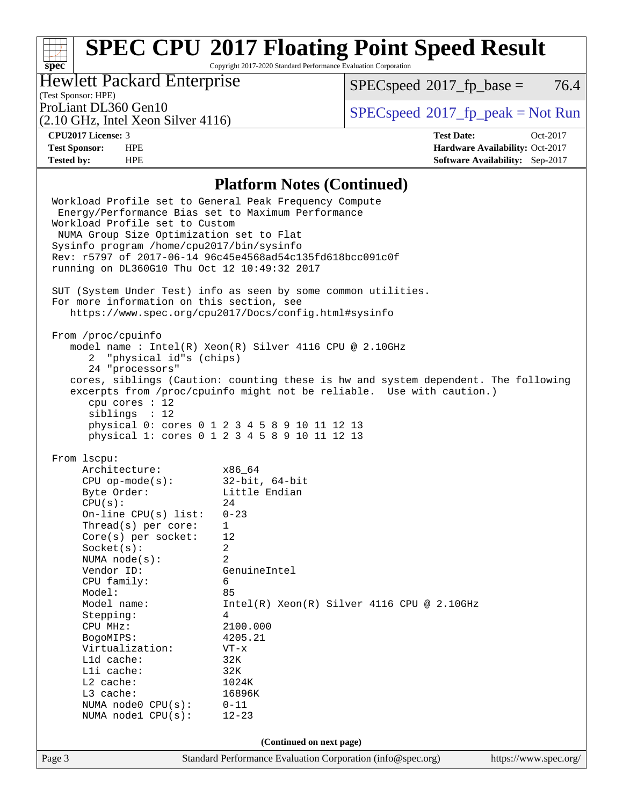Copyright 2017-2020 Standard Performance Evaluation Corporation

## Hewlett Packard Enterprise

(2.10 GHz, Intel Xeon Silver 4116)

 $SPECspeed^{\circledcirc}2017_fp\_base = 76.4$  $SPECspeed^{\circledcirc}2017_fp\_base = 76.4$ 

(Test Sponsor: HPE)

ProLiant DL360 Gen10<br>  $SPECspeed^{\circ}2017\_fp\_peak = Not Run$  $SPECspeed^{\circ}2017\_fp\_peak = Not Run$ 

**[spec](http://www.spec.org/)**

**[CPU2017 License:](http://www.spec.org/auto/cpu2017/Docs/result-fields.html#CPU2017License)** 3 **[Test Date:](http://www.spec.org/auto/cpu2017/Docs/result-fields.html#TestDate)** Oct-2017 **[Test Sponsor:](http://www.spec.org/auto/cpu2017/Docs/result-fields.html#TestSponsor)** HPE **[Hardware Availability:](http://www.spec.org/auto/cpu2017/Docs/result-fields.html#HardwareAvailability)** Oct-2017 **[Tested by:](http://www.spec.org/auto/cpu2017/Docs/result-fields.html#Testedby)** HPE **[Software Availability:](http://www.spec.org/auto/cpu2017/Docs/result-fields.html#SoftwareAvailability)** Sep-2017

#### **[Platform Notes \(Continued\)](http://www.spec.org/auto/cpu2017/Docs/result-fields.html#PlatformNotes)**

Page 3 Standard Performance Evaluation Corporation [\(info@spec.org\)](mailto:info@spec.org) <https://www.spec.org/> Workload Profile set to General Peak Frequency Compute Energy/Performance Bias set to Maximum Performance Workload Profile set to Custom NUMA Group Size Optimization set to Flat Sysinfo program /home/cpu2017/bin/sysinfo Rev: r5797 of 2017-06-14 96c45e4568ad54c135fd618bcc091c0f running on DL360G10 Thu Oct 12 10:49:32 2017 SUT (System Under Test) info as seen by some common utilities. For more information on this section, see <https://www.spec.org/cpu2017/Docs/config.html#sysinfo> From /proc/cpuinfo model name : Intel(R) Xeon(R) Silver 4116 CPU @ 2.10GHz 2 "physical id"s (chips) 24 "processors" cores, siblings (Caution: counting these is hw and system dependent. The following excerpts from /proc/cpuinfo might not be reliable. Use with caution.) cpu cores : 12 siblings : 12 physical 0: cores 0 1 2 3 4 5 8 9 10 11 12 13 physical 1: cores 0 1 2 3 4 5 8 9 10 11 12 13 From lscpu: Architecture: x86\_64 CPU op-mode(s): 32-bit, 64-bit Byte Order: Little Endian  $CPU(s):$  24 On-line CPU(s) list: 0-23 Thread(s) per core: 1 Core(s) per socket: 12 Socket(s): 2 NUMA node(s): 2 Vendor ID: GenuineIntel CPU family: 6 Model: 85 Model name:  $Intel(R)$  Xeon(R) Silver 4116 CPU @ 2.10GHz Stepping: 4 CPU MHz: 2100.000 BogoMIPS: 4205.21 Virtualization: VT-x L1d cache: 32K L1i cache: 32K L2 cache: 1024K L3 cache: 16896K NUMA node0 CPU(s): 0-11 NUMA node1 CPU(s): 12-23 **(Continued on next page)**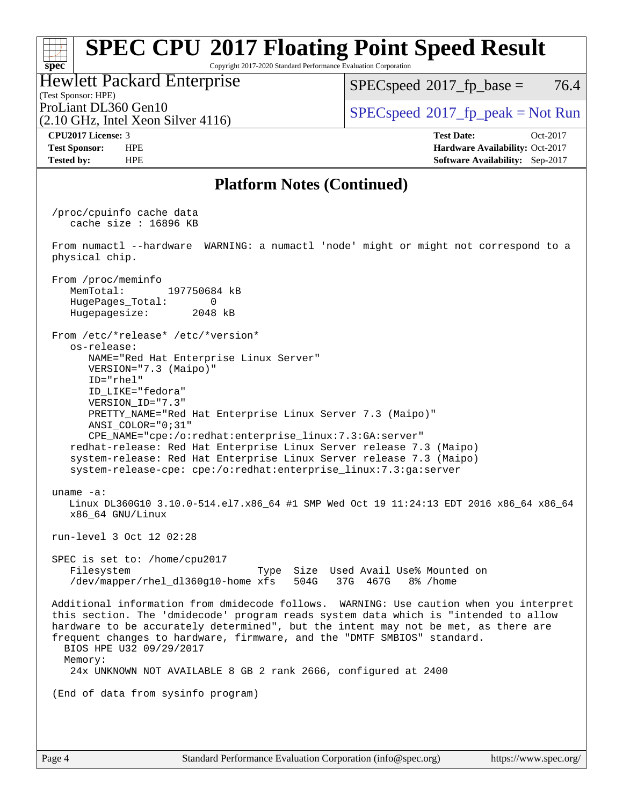#### **[spec](http://www.spec.org/) [SPEC CPU](http://www.spec.org/auto/cpu2017/Docs/result-fields.html#SPECCPU2017FloatingPointSpeedResult)[2017 Floating Point Speed Result](http://www.spec.org/auto/cpu2017/Docs/result-fields.html#SPECCPU2017FloatingPointSpeedResult)** Copyright 2017-2020 Standard Performance Evaluation Corporation (Test Sponsor: HPE) Hewlett Packard Enterprise (2.10 GHz, Intel Xeon Silver 4116) ProLiant DL360 Gen10<br>  $SPECspeed^{\circ}2017\_fp\_peak = Not Run$  $SPECspeed^{\circ}2017\_fp\_peak = Not Run$  $SPECspeed^{\circ}2017\_fp\_base = 76.4$  $SPECspeed^{\circ}2017\_fp\_base = 76.4$ **[CPU2017 License:](http://www.spec.org/auto/cpu2017/Docs/result-fields.html#CPU2017License)** 3 **[Test Date:](http://www.spec.org/auto/cpu2017/Docs/result-fields.html#TestDate)** Oct-2017 **[Test Sponsor:](http://www.spec.org/auto/cpu2017/Docs/result-fields.html#TestSponsor)** HPE **[Hardware Availability:](http://www.spec.org/auto/cpu2017/Docs/result-fields.html#HardwareAvailability)** Oct-2017 **[Tested by:](http://www.spec.org/auto/cpu2017/Docs/result-fields.html#Testedby)** HPE **[Software Availability:](http://www.spec.org/auto/cpu2017/Docs/result-fields.html#SoftwareAvailability)** Sep-2017 **[Platform Notes \(Continued\)](http://www.spec.org/auto/cpu2017/Docs/result-fields.html#PlatformNotes)** /proc/cpuinfo cache data cache size : 16896 KB From numactl --hardware WARNING: a numactl 'node' might or might not correspond to a physical chip. From /proc/meminfo MemTotal: 197750684 kB HugePages\_Total: 0 Hugepagesize: 2048 kB From /etc/\*release\* /etc/\*version\* os-release: NAME="Red Hat Enterprise Linux Server" VERSION="7.3 (Maipo)" ID="rhel" ID\_LIKE="fedora" VERSION\_ID="7.3" PRETTY\_NAME="Red Hat Enterprise Linux Server 7.3 (Maipo)" ANSI\_COLOR="0;31" CPE\_NAME="cpe:/o:redhat:enterprise\_linux:7.3:GA:server" redhat-release: Red Hat Enterprise Linux Server release 7.3 (Maipo) system-release: Red Hat Enterprise Linux Server release 7.3 (Maipo) system-release-cpe: cpe:/o:redhat:enterprise\_linux:7.3:ga:server uname -a: Linux DL360G10 3.10.0-514.el7.x86\_64 #1 SMP Wed Oct 19 11:24:13 EDT 2016 x86\_64 x86\_64 x86\_64 GNU/Linux run-level 3 Oct 12 02:28 SPEC is set to: /home/cpu2017 Filesystem Type Size Used Avail Use% Mounted on /dev/mapper/rhel\_dl360g10-home xfs 504G 37G 467G 8% /home Additional information from dmidecode follows. WARNING: Use caution when you interpret this section. The 'dmidecode' program reads system data which is "intended to allow hardware to be accurately determined", but the intent may not be met, as there are frequent changes to hardware, firmware, and the "DMTF SMBIOS" standard. BIOS HPE U32 09/29/2017 Memory: 24x UNKNOWN NOT AVAILABLE 8 GB 2 rank 2666, configured at 2400 (End of data from sysinfo program)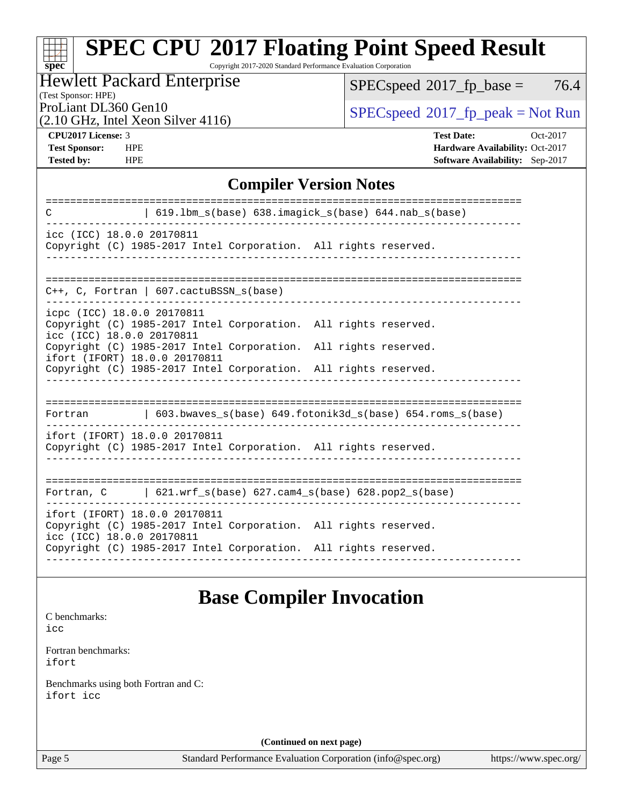## **[SPEC CPU](http://www.spec.org/auto/cpu2017/Docs/result-fields.html#SPECCPU2017FloatingPointSpeedResult)[2017 Floating Point Speed Result](http://www.spec.org/auto/cpu2017/Docs/result-fields.html#SPECCPU2017FloatingPointSpeedResult)** Copyright 2017-2020 Standard Performance Evaluation Corporation

## Hewlett Packard Enterprise

 $SPECspeed^{\circ}2017_fp\_base = 76.4$  $SPECspeed^{\circ}2017_fp\_base = 76.4$ 

## (Test Sponsor: HPE)

(2.10 GHz, Intel Xeon Silver 4116)

ProLiant DL360 Gen10<br>  $SPECspeed^{\circ}2017\_fp\_peak = Not Run$  $SPECspeed^{\circ}2017\_fp\_peak = Not Run$ 

**[spec](http://www.spec.org/)**

**[Tested by:](http://www.spec.org/auto/cpu2017/Docs/result-fields.html#Testedby)** HPE **[Software Availability:](http://www.spec.org/auto/cpu2017/Docs/result-fields.html#SoftwareAvailability)** Sep-2017

**[CPU2017 License:](http://www.spec.org/auto/cpu2017/Docs/result-fields.html#CPU2017License)** 3 **[Test Date:](http://www.spec.org/auto/cpu2017/Docs/result-fields.html#TestDate)** Oct-2017 **[Test Sponsor:](http://www.spec.org/auto/cpu2017/Docs/result-fields.html#TestSponsor)** HPE **[Hardware Availability:](http://www.spec.org/auto/cpu2017/Docs/result-fields.html#HardwareAvailability)** Oct-2017

## **[Compiler Version Notes](http://www.spec.org/auto/cpu2017/Docs/result-fields.html#CompilerVersionNotes)**

| 619.1bm $s(base)$ 638.imagick $s(base)$ 644.nab $s(base)$<br>C                                                                                                                                                                                                                                    |
|---------------------------------------------------------------------------------------------------------------------------------------------------------------------------------------------------------------------------------------------------------------------------------------------------|
| icc (ICC) 18.0.0 20170811<br>Copyright (C) 1985-2017 Intel Corporation. All rights reserved.                                                                                                                                                                                                      |
| $C_{++}$ , C, Fortran   607. cactuBSSN s(base)                                                                                                                                                                                                                                                    |
| icpc (ICC) 18.0.0 20170811<br>Copyright (C) 1985-2017 Intel Corporation. All rights reserved.<br>icc (ICC) 18.0.0 20170811<br>Copyright (C) 1985-2017 Intel Corporation. All rights reserved.<br>ifort (IFORT) 18.0.0 20170811<br>Copyright (C) 1985-2017 Intel Corporation. All rights reserved. |
|                                                                                                                                                                                                                                                                                                   |
| Fortran $\qquad \qquad$ 603.bwaves s(base) 649.fotonik3d s(base) 654.roms s(base)                                                                                                                                                                                                                 |
| ifort (IFORT) 18.0.0 20170811<br>Copyright (C) 1985-2017 Intel Corporation. All rights reserved.                                                                                                                                                                                                  |
| Fortran, $C = \begin{bmatrix} 621.wrf\_s(base) & 627.cam4_s(base) & 628.pop2_s(base) \end{bmatrix}$                                                                                                                                                                                               |
| ifort (IFORT) 18.0.0 20170811<br>Copyright (C) 1985-2017 Intel Corporation. All rights reserved.<br>icc (ICC) 18.0.0 20170811<br>Copyright (C) 1985-2017 Intel Corporation. All rights reserved.                                                                                                  |

## **[Base Compiler Invocation](http://www.spec.org/auto/cpu2017/Docs/result-fields.html#BaseCompilerInvocation)**

[C benchmarks](http://www.spec.org/auto/cpu2017/Docs/result-fields.html#Cbenchmarks): [icc](http://www.spec.org/cpu2017/results/res2017q4/cpu2017-20171031-00443.flags.html#user_CCbase_intel_icc_18.0_66fc1ee009f7361af1fbd72ca7dcefbb700085f36577c54f309893dd4ec40d12360134090235512931783d35fd58c0460139e722d5067c5574d8eaf2b3e37e92)

[Fortran benchmarks](http://www.spec.org/auto/cpu2017/Docs/result-fields.html#Fortranbenchmarks): [ifort](http://www.spec.org/cpu2017/results/res2017q4/cpu2017-20171031-00443.flags.html#user_FCbase_intel_ifort_18.0_8111460550e3ca792625aed983ce982f94888b8b503583aa7ba2b8303487b4d8a21a13e7191a45c5fd58ff318f48f9492884d4413fa793fd88dd292cad7027ca)

[Benchmarks using both Fortran and C](http://www.spec.org/auto/cpu2017/Docs/result-fields.html#BenchmarksusingbothFortranandC): [ifort](http://www.spec.org/cpu2017/results/res2017q4/cpu2017-20171031-00443.flags.html#user_CC_FCbase_intel_ifort_18.0_8111460550e3ca792625aed983ce982f94888b8b503583aa7ba2b8303487b4d8a21a13e7191a45c5fd58ff318f48f9492884d4413fa793fd88dd292cad7027ca) [icc](http://www.spec.org/cpu2017/results/res2017q4/cpu2017-20171031-00443.flags.html#user_CC_FCbase_intel_icc_18.0_66fc1ee009f7361af1fbd72ca7dcefbb700085f36577c54f309893dd4ec40d12360134090235512931783d35fd58c0460139e722d5067c5574d8eaf2b3e37e92)

**(Continued on next page)**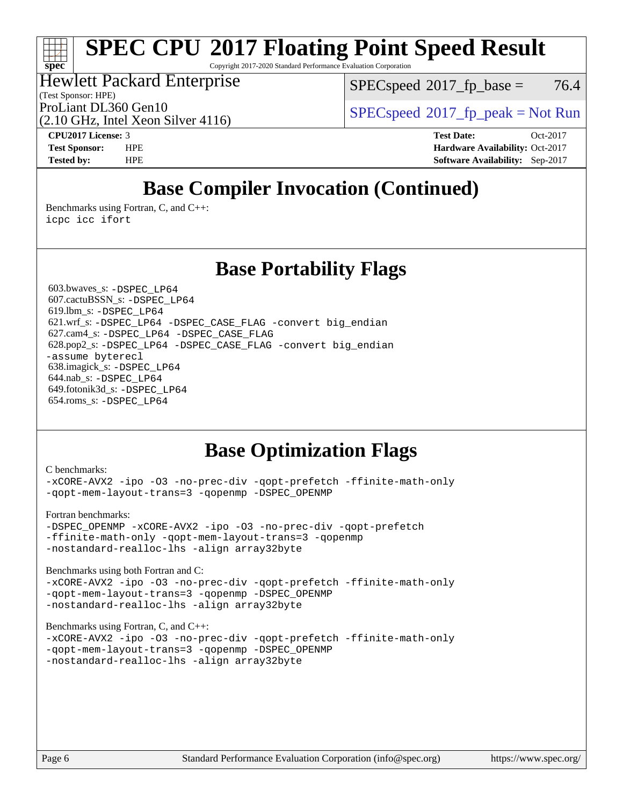Copyright 2017-2020 Standard Performance Evaluation Corporation

## Hewlett Packard Enterprise

 $SPEC speed^{\circ}2017\_fp\_base = 76.4$ 

(Test Sponsor: HPE)

(2.10 GHz, Intel Xeon Silver 4116)

ProLiant DL360 Gen10<br>  $SPECspeed^{\circ}2017\_fp\_peak = Not Run$  $SPECspeed^{\circ}2017\_fp\_peak = Not Run$ 

**[spec](http://www.spec.org/)**

**[CPU2017 License:](http://www.spec.org/auto/cpu2017/Docs/result-fields.html#CPU2017License)** 3 **[Test Date:](http://www.spec.org/auto/cpu2017/Docs/result-fields.html#TestDate)** Oct-2017 **[Test Sponsor:](http://www.spec.org/auto/cpu2017/Docs/result-fields.html#TestSponsor)** HPE **[Hardware Availability:](http://www.spec.org/auto/cpu2017/Docs/result-fields.html#HardwareAvailability)** Oct-2017 **[Tested by:](http://www.spec.org/auto/cpu2017/Docs/result-fields.html#Testedby)** HPE **[Software Availability:](http://www.spec.org/auto/cpu2017/Docs/result-fields.html#SoftwareAvailability)** Sep-2017

## **[Base Compiler Invocation \(Continued\)](http://www.spec.org/auto/cpu2017/Docs/result-fields.html#BaseCompilerInvocation)**

[Benchmarks using Fortran, C, and C++:](http://www.spec.org/auto/cpu2017/Docs/result-fields.html#BenchmarksusingFortranCandCXX) [icpc](http://www.spec.org/cpu2017/results/res2017q4/cpu2017-20171031-00443.flags.html#user_CC_CXX_FCbase_intel_icpc_18.0_c510b6838c7f56d33e37e94d029a35b4a7bccf4766a728ee175e80a419847e808290a9b78be685c44ab727ea267ec2f070ec5dc83b407c0218cded6866a35d07) [icc](http://www.spec.org/cpu2017/results/res2017q4/cpu2017-20171031-00443.flags.html#user_CC_CXX_FCbase_intel_icc_18.0_66fc1ee009f7361af1fbd72ca7dcefbb700085f36577c54f309893dd4ec40d12360134090235512931783d35fd58c0460139e722d5067c5574d8eaf2b3e37e92) [ifort](http://www.spec.org/cpu2017/results/res2017q4/cpu2017-20171031-00443.flags.html#user_CC_CXX_FCbase_intel_ifort_18.0_8111460550e3ca792625aed983ce982f94888b8b503583aa7ba2b8303487b4d8a21a13e7191a45c5fd58ff318f48f9492884d4413fa793fd88dd292cad7027ca)

## **[Base Portability Flags](http://www.spec.org/auto/cpu2017/Docs/result-fields.html#BasePortabilityFlags)**

 603.bwaves\_s: [-DSPEC\\_LP64](http://www.spec.org/cpu2017/results/res2017q4/cpu2017-20171031-00443.flags.html#suite_basePORTABILITY603_bwaves_s_DSPEC_LP64) 607.cactuBSSN\_s: [-DSPEC\\_LP64](http://www.spec.org/cpu2017/results/res2017q4/cpu2017-20171031-00443.flags.html#suite_basePORTABILITY607_cactuBSSN_s_DSPEC_LP64) 619.lbm\_s: [-DSPEC\\_LP64](http://www.spec.org/cpu2017/results/res2017q4/cpu2017-20171031-00443.flags.html#suite_basePORTABILITY619_lbm_s_DSPEC_LP64) 621.wrf\_s: [-DSPEC\\_LP64](http://www.spec.org/cpu2017/results/res2017q4/cpu2017-20171031-00443.flags.html#suite_basePORTABILITY621_wrf_s_DSPEC_LP64) [-DSPEC\\_CASE\\_FLAG](http://www.spec.org/cpu2017/results/res2017q4/cpu2017-20171031-00443.flags.html#b621.wrf_s_baseCPORTABILITY_DSPEC_CASE_FLAG) [-convert big\\_endian](http://www.spec.org/cpu2017/results/res2017q4/cpu2017-20171031-00443.flags.html#user_baseFPORTABILITY621_wrf_s_convert_big_endian_c3194028bc08c63ac5d04de18c48ce6d347e4e562e8892b8bdbdc0214820426deb8554edfa529a3fb25a586e65a3d812c835984020483e7e73212c4d31a38223) 627.cam4\_s: [-DSPEC\\_LP64](http://www.spec.org/cpu2017/results/res2017q4/cpu2017-20171031-00443.flags.html#suite_basePORTABILITY627_cam4_s_DSPEC_LP64) [-DSPEC\\_CASE\\_FLAG](http://www.spec.org/cpu2017/results/res2017q4/cpu2017-20171031-00443.flags.html#b627.cam4_s_baseCPORTABILITY_DSPEC_CASE_FLAG) 628.pop2\_s: [-DSPEC\\_LP64](http://www.spec.org/cpu2017/results/res2017q4/cpu2017-20171031-00443.flags.html#suite_basePORTABILITY628_pop2_s_DSPEC_LP64) [-DSPEC\\_CASE\\_FLAG](http://www.spec.org/cpu2017/results/res2017q4/cpu2017-20171031-00443.flags.html#b628.pop2_s_baseCPORTABILITY_DSPEC_CASE_FLAG) [-convert big\\_endian](http://www.spec.org/cpu2017/results/res2017q4/cpu2017-20171031-00443.flags.html#user_baseFPORTABILITY628_pop2_s_convert_big_endian_c3194028bc08c63ac5d04de18c48ce6d347e4e562e8892b8bdbdc0214820426deb8554edfa529a3fb25a586e65a3d812c835984020483e7e73212c4d31a38223) [-assume byterecl](http://www.spec.org/cpu2017/results/res2017q4/cpu2017-20171031-00443.flags.html#user_baseFPORTABILITY628_pop2_s_assume_byterecl_7e47d18b9513cf18525430bbf0f2177aa9bf368bc7a059c09b2c06a34b53bd3447c950d3f8d6c70e3faf3a05c8557d66a5798b567902e8849adc142926523472) 638.imagick\_s: [-DSPEC\\_LP64](http://www.spec.org/cpu2017/results/res2017q4/cpu2017-20171031-00443.flags.html#suite_basePORTABILITY638_imagick_s_DSPEC_LP64) 644.nab\_s: [-DSPEC\\_LP64](http://www.spec.org/cpu2017/results/res2017q4/cpu2017-20171031-00443.flags.html#suite_basePORTABILITY644_nab_s_DSPEC_LP64) 649.fotonik3d\_s: [-DSPEC\\_LP64](http://www.spec.org/cpu2017/results/res2017q4/cpu2017-20171031-00443.flags.html#suite_basePORTABILITY649_fotonik3d_s_DSPEC_LP64) 654.roms\_s: [-DSPEC\\_LP64](http://www.spec.org/cpu2017/results/res2017q4/cpu2017-20171031-00443.flags.html#suite_basePORTABILITY654_roms_s_DSPEC_LP64)

## **[Base Optimization Flags](http://www.spec.org/auto/cpu2017/Docs/result-fields.html#BaseOptimizationFlags)**

#### [C benchmarks](http://www.spec.org/auto/cpu2017/Docs/result-fields.html#Cbenchmarks):

[-xCORE-AVX2](http://www.spec.org/cpu2017/results/res2017q4/cpu2017-20171031-00443.flags.html#user_CCbase_f-xCORE-AVX2) [-ipo](http://www.spec.org/cpu2017/results/res2017q4/cpu2017-20171031-00443.flags.html#user_CCbase_f-ipo) [-O3](http://www.spec.org/cpu2017/results/res2017q4/cpu2017-20171031-00443.flags.html#user_CCbase_f-O3) [-no-prec-div](http://www.spec.org/cpu2017/results/res2017q4/cpu2017-20171031-00443.flags.html#user_CCbase_f-no-prec-div) [-qopt-prefetch](http://www.spec.org/cpu2017/results/res2017q4/cpu2017-20171031-00443.flags.html#user_CCbase_f-qopt-prefetch) [-ffinite-math-only](http://www.spec.org/cpu2017/results/res2017q4/cpu2017-20171031-00443.flags.html#user_CCbase_f_finite_math_only_cb91587bd2077682c4b38af759c288ed7c732db004271a9512da14a4f8007909a5f1427ecbf1a0fb78ff2a814402c6114ac565ca162485bbcae155b5e4258871) [-qopt-mem-layout-trans=3](http://www.spec.org/cpu2017/results/res2017q4/cpu2017-20171031-00443.flags.html#user_CCbase_f-qopt-mem-layout-trans_de80db37974c74b1f0e20d883f0b675c88c3b01e9d123adea9b28688d64333345fb62bc4a798493513fdb68f60282f9a726aa07f478b2f7113531aecce732043) [-qopenmp](http://www.spec.org/cpu2017/results/res2017q4/cpu2017-20171031-00443.flags.html#user_CCbase_qopenmp_16be0c44f24f464004c6784a7acb94aca937f053568ce72f94b139a11c7c168634a55f6653758ddd83bcf7b8463e8028bb0b48b77bcddc6b78d5d95bb1df2967) [-DSPEC\\_OPENMP](http://www.spec.org/cpu2017/results/res2017q4/cpu2017-20171031-00443.flags.html#suite_CCbase_DSPEC_OPENMP)

[Fortran benchmarks](http://www.spec.org/auto/cpu2017/Docs/result-fields.html#Fortranbenchmarks):

[-DSPEC\\_OPENMP](http://www.spec.org/cpu2017/results/res2017q4/cpu2017-20171031-00443.flags.html#suite_FCbase_DSPEC_OPENMP) [-xCORE-AVX2](http://www.spec.org/cpu2017/results/res2017q4/cpu2017-20171031-00443.flags.html#user_FCbase_f-xCORE-AVX2) [-ipo](http://www.spec.org/cpu2017/results/res2017q4/cpu2017-20171031-00443.flags.html#user_FCbase_f-ipo) [-O3](http://www.spec.org/cpu2017/results/res2017q4/cpu2017-20171031-00443.flags.html#user_FCbase_f-O3) [-no-prec-div](http://www.spec.org/cpu2017/results/res2017q4/cpu2017-20171031-00443.flags.html#user_FCbase_f-no-prec-div) [-qopt-prefetch](http://www.spec.org/cpu2017/results/res2017q4/cpu2017-20171031-00443.flags.html#user_FCbase_f-qopt-prefetch) [-ffinite-math-only](http://www.spec.org/cpu2017/results/res2017q4/cpu2017-20171031-00443.flags.html#user_FCbase_f_finite_math_only_cb91587bd2077682c4b38af759c288ed7c732db004271a9512da14a4f8007909a5f1427ecbf1a0fb78ff2a814402c6114ac565ca162485bbcae155b5e4258871) [-qopt-mem-layout-trans=3](http://www.spec.org/cpu2017/results/res2017q4/cpu2017-20171031-00443.flags.html#user_FCbase_f-qopt-mem-layout-trans_de80db37974c74b1f0e20d883f0b675c88c3b01e9d123adea9b28688d64333345fb62bc4a798493513fdb68f60282f9a726aa07f478b2f7113531aecce732043) [-qopenmp](http://www.spec.org/cpu2017/results/res2017q4/cpu2017-20171031-00443.flags.html#user_FCbase_qopenmp_16be0c44f24f464004c6784a7acb94aca937f053568ce72f94b139a11c7c168634a55f6653758ddd83bcf7b8463e8028bb0b48b77bcddc6b78d5d95bb1df2967) [-nostandard-realloc-lhs](http://www.spec.org/cpu2017/results/res2017q4/cpu2017-20171031-00443.flags.html#user_FCbase_f_2003_std_realloc_82b4557e90729c0f113870c07e44d33d6f5a304b4f63d4c15d2d0f1fab99f5daaed73bdb9275d9ae411527f28b936061aa8b9c8f2d63842963b95c9dd6426b8a) [-align array32byte](http://www.spec.org/cpu2017/results/res2017q4/cpu2017-20171031-00443.flags.html#user_FCbase_align_array32byte_b982fe038af199962ba9a80c053b8342c548c85b40b8e86eb3cc33dee0d7986a4af373ac2d51c3f7cf710a18d62fdce2948f201cd044323541f22fc0fffc51b6)

[Benchmarks using both Fortran and C](http://www.spec.org/auto/cpu2017/Docs/result-fields.html#BenchmarksusingbothFortranandC): [-xCORE-AVX2](http://www.spec.org/cpu2017/results/res2017q4/cpu2017-20171031-00443.flags.html#user_CC_FCbase_f-xCORE-AVX2) [-ipo](http://www.spec.org/cpu2017/results/res2017q4/cpu2017-20171031-00443.flags.html#user_CC_FCbase_f-ipo) [-O3](http://www.spec.org/cpu2017/results/res2017q4/cpu2017-20171031-00443.flags.html#user_CC_FCbase_f-O3) [-no-prec-div](http://www.spec.org/cpu2017/results/res2017q4/cpu2017-20171031-00443.flags.html#user_CC_FCbase_f-no-prec-div) [-qopt-prefetch](http://www.spec.org/cpu2017/results/res2017q4/cpu2017-20171031-00443.flags.html#user_CC_FCbase_f-qopt-prefetch) [-ffinite-math-only](http://www.spec.org/cpu2017/results/res2017q4/cpu2017-20171031-00443.flags.html#user_CC_FCbase_f_finite_math_only_cb91587bd2077682c4b38af759c288ed7c732db004271a9512da14a4f8007909a5f1427ecbf1a0fb78ff2a814402c6114ac565ca162485bbcae155b5e4258871) [-qopt-mem-layout-trans=3](http://www.spec.org/cpu2017/results/res2017q4/cpu2017-20171031-00443.flags.html#user_CC_FCbase_f-qopt-mem-layout-trans_de80db37974c74b1f0e20d883f0b675c88c3b01e9d123adea9b28688d64333345fb62bc4a798493513fdb68f60282f9a726aa07f478b2f7113531aecce732043) [-qopenmp](http://www.spec.org/cpu2017/results/res2017q4/cpu2017-20171031-00443.flags.html#user_CC_FCbase_qopenmp_16be0c44f24f464004c6784a7acb94aca937f053568ce72f94b139a11c7c168634a55f6653758ddd83bcf7b8463e8028bb0b48b77bcddc6b78d5d95bb1df2967) [-DSPEC\\_OPENMP](http://www.spec.org/cpu2017/results/res2017q4/cpu2017-20171031-00443.flags.html#suite_CC_FCbase_DSPEC_OPENMP) [-nostandard-realloc-lhs](http://www.spec.org/cpu2017/results/res2017q4/cpu2017-20171031-00443.flags.html#user_CC_FCbase_f_2003_std_realloc_82b4557e90729c0f113870c07e44d33d6f5a304b4f63d4c15d2d0f1fab99f5daaed73bdb9275d9ae411527f28b936061aa8b9c8f2d63842963b95c9dd6426b8a) [-align array32byte](http://www.spec.org/cpu2017/results/res2017q4/cpu2017-20171031-00443.flags.html#user_CC_FCbase_align_array32byte_b982fe038af199962ba9a80c053b8342c548c85b40b8e86eb3cc33dee0d7986a4af373ac2d51c3f7cf710a18d62fdce2948f201cd044323541f22fc0fffc51b6)

[Benchmarks using Fortran, C, and C++:](http://www.spec.org/auto/cpu2017/Docs/result-fields.html#BenchmarksusingFortranCandCXX)

```
-xCORE-AVX2 -ipo -O3 -no-prec-div -qopt-prefetch -ffinite-math-only
-qopt-mem-layout-trans=3 -qopenmp -DSPEC_OPENMP
-nostandard-realloc-lhs -align array32byte
```